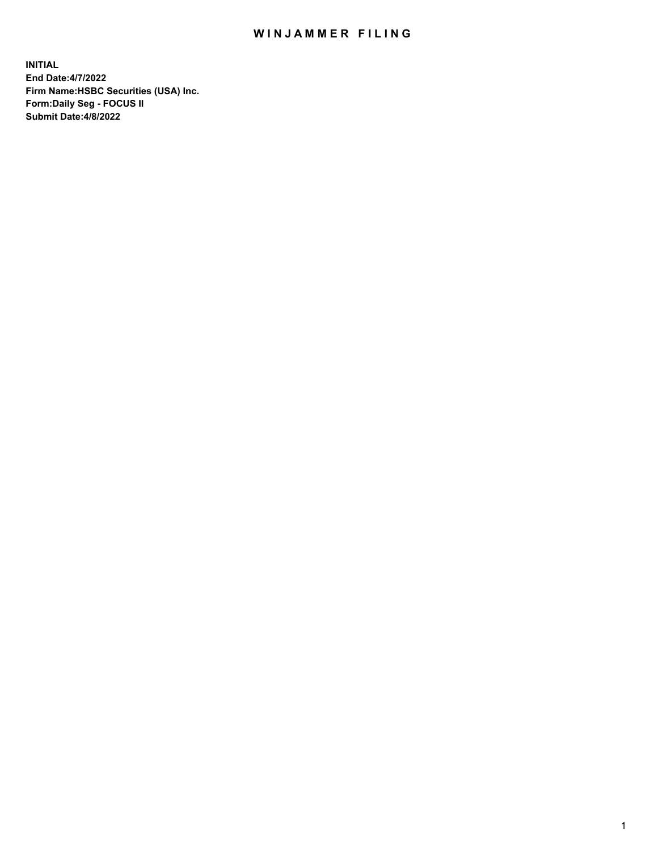## WIN JAMMER FILING

**INITIAL End Date:4/7/2022 Firm Name:HSBC Securities (USA) Inc. Form:Daily Seg - FOCUS II Submit Date:4/8/2022**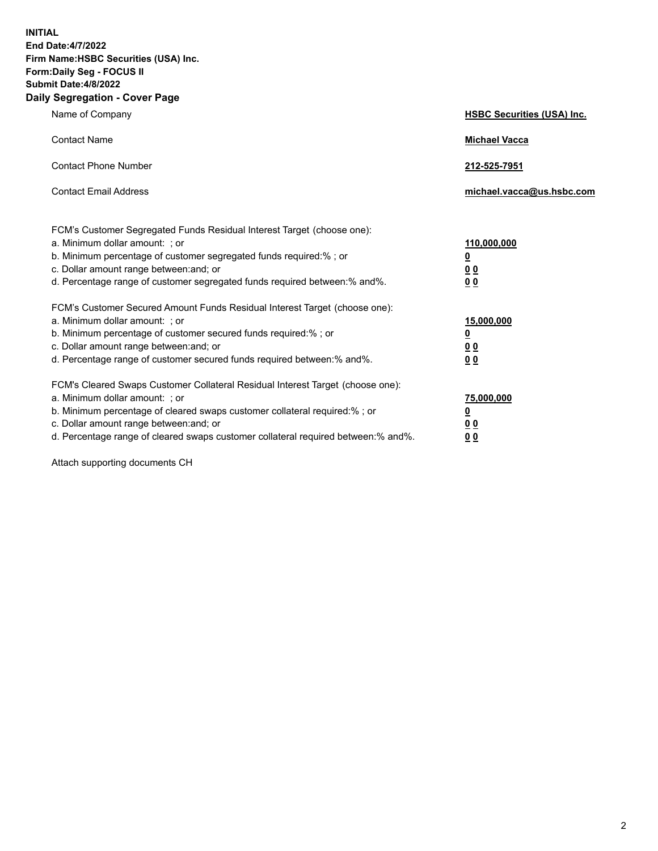**INITIAL End Date:4/7/2022 Firm Name:HSBC Securities (USA) Inc. Form:Daily Seg - FOCUS II Submit Date:4/8/2022 Daily Segregation - Cover Page**

| Name of Company                                                                                                                                                                                                                                                                                                                | <b>HSBC Securities (USA) Inc.</b>                          |
|--------------------------------------------------------------------------------------------------------------------------------------------------------------------------------------------------------------------------------------------------------------------------------------------------------------------------------|------------------------------------------------------------|
| <b>Contact Name</b>                                                                                                                                                                                                                                                                                                            | <b>Michael Vacca</b>                                       |
| <b>Contact Phone Number</b>                                                                                                                                                                                                                                                                                                    | 212-525-7951                                               |
| <b>Contact Email Address</b>                                                                                                                                                                                                                                                                                                   | michael.vacca@us.hsbc.com                                  |
| FCM's Customer Segregated Funds Residual Interest Target (choose one):<br>a. Minimum dollar amount: ; or<br>b. Minimum percentage of customer segregated funds required:% ; or<br>c. Dollar amount range between: and; or<br>d. Percentage range of customer segregated funds required between:% and%.                         | 110,000,000<br><u>0</u><br>0 <sub>0</sub><br>00            |
| FCM's Customer Secured Amount Funds Residual Interest Target (choose one):<br>a. Minimum dollar amount: ; or<br>b. Minimum percentage of customer secured funds required:%; or<br>c. Dollar amount range between: and; or<br>d. Percentage range of customer secured funds required between:% and%.                            | 15,000,000<br><u>0</u><br>0 <sub>0</sub><br>0 <sub>0</sub> |
| FCM's Cleared Swaps Customer Collateral Residual Interest Target (choose one):<br>a. Minimum dollar amount: ; or<br>b. Minimum percentage of cleared swaps customer collateral required:% ; or<br>c. Dollar amount range between: and; or<br>d. Percentage range of cleared swaps customer collateral required between:% and%. | 75,000,000<br><u>0</u><br><u>00</u><br>00                  |

Attach supporting documents CH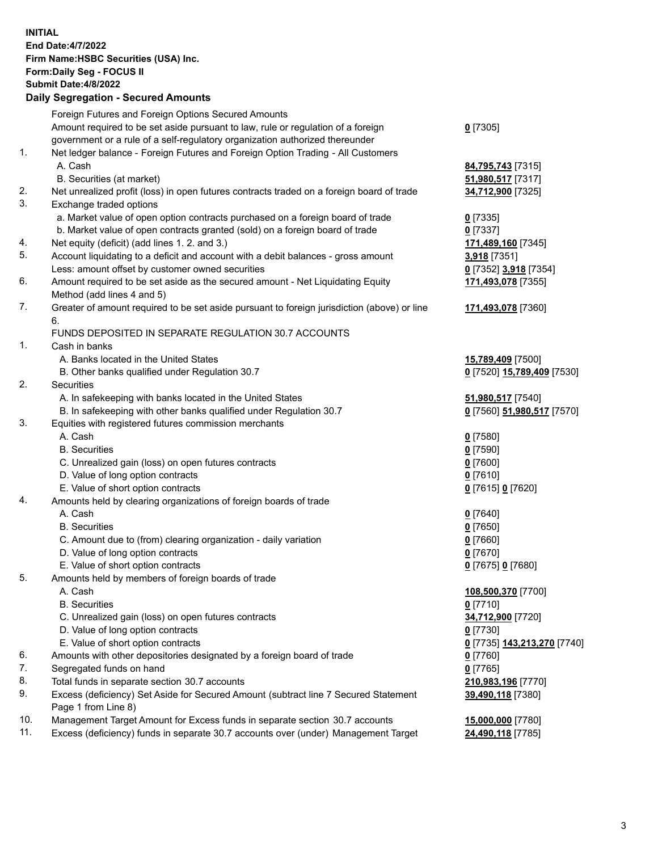**INITIAL End Date:4/7/2022 Firm Name:HSBC Securities (USA) Inc. Form:Daily Seg - FOCUS II Submit Date:4/8/2022 Daily Segregation - Secured Amounts** Foreign Futures and Foreign Options Secured Amounts Amount required to be set aside pursuant to law, rule or regulation of a foreign government or a rule of a self-regulatory organization authorized thereunder **0** [7305] 1. Net ledger balance - Foreign Futures and Foreign Option Trading - All Customers A. Cash **84,795,743** [7315] B. Securities (at market) **51,980,517** [7317] 2. Net unrealized profit (loss) in open futures contracts traded on a foreign board of trade **34,712,900** [7325] 3. Exchange traded options a. Market value of open option contracts purchased on a foreign board of trade **0** [7335] b. Market value of open contracts granted (sold) on a foreign board of trade **0** [7337] 4. Net equity (deficit) (add lines 1. 2. and 3.) **171,489,160** [7345] 5. Account liquidating to a deficit and account with a debit balances - gross amount **3,918** [7351] Less: amount offset by customer owned securities **0** [7352] **3,918** [7354] 6. Amount required to be set aside as the secured amount - Net Liquidating Equity Method (add lines 4 and 5) **171,493,078** [7355] 7. Greater of amount required to be set aside pursuant to foreign jurisdiction (above) or line 6. **171,493,078** [7360] FUNDS DEPOSITED IN SEPARATE REGULATION 30.7 ACCOUNTS 1. Cash in banks A. Banks located in the United States **15,789,409** [7500] B. Other banks qualified under Regulation 30.7 **0** [7520] **15,789,409** [7530] 2. Securities A. In safekeeping with banks located in the United States **51,980,517** [7540] B. In safekeeping with other banks qualified under Regulation 30.7 **0** [7560] **51,980,517** [7570] 3. Equities with registered futures commission merchants A. Cash **0** [7580] B. Securities **0** [7590] C. Unrealized gain (loss) on open futures contracts **0** [7600] D. Value of long option contracts **0** [7610] E. Value of short option contracts **0** [7615] **0** [7620] 4. Amounts held by clearing organizations of foreign boards of trade A. Cash **0** [7640] B. Securities **0** [7650] C. Amount due to (from) clearing organization - daily variation **0** [7660] D. Value of long option contracts **0** [7670] E. Value of short option contracts **0** [7675] **0** [7680] 5. Amounts held by members of foreign boards of trade A. Cash **108,500,370** [7700] B. Securities **0** [7710] C. Unrealized gain (loss) on open futures contracts **34,712,900** [7720] D. Value of long option contracts **0** [7730] E. Value of short option contracts **0** [7735] **143,213,270** [7740] 6. Amounts with other depositories designated by a foreign board of trade **0** [7760] 7. Segregated funds on hand **0** [7765] 8. Total funds in separate section 30.7 accounts **210,983,196** [7770] 9. Excess (deficiency) Set Aside for Secured Amount (subtract line 7 Secured Statement Page 1 from Line 8) **39,490,118** [7380] 10. Management Target Amount for Excess funds in separate section 30.7 accounts **15,000,000** [7780] 11. Excess (deficiency) funds in separate 30.7 accounts over (under) Management Target **24,490,118** [7785]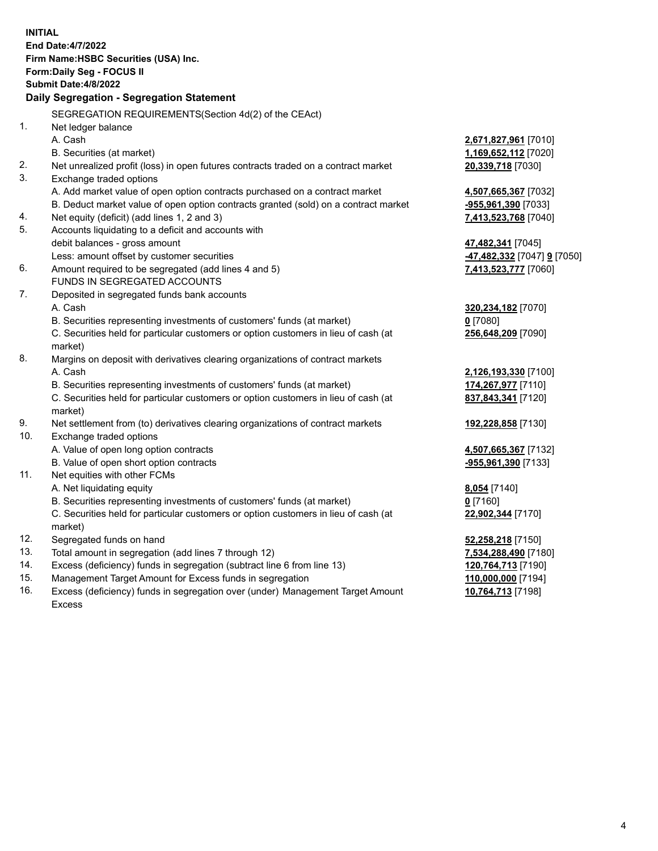| <b>INITIAL</b> |                                                                                                |                                                 |
|----------------|------------------------------------------------------------------------------------------------|-------------------------------------------------|
|                | End Date: 4/7/2022                                                                             |                                                 |
|                | Firm Name: HSBC Securities (USA) Inc.                                                          |                                                 |
|                | <b>Form:Daily Seg - FOCUS II</b>                                                               |                                                 |
|                | <b>Submit Date:4/8/2022</b>                                                                    |                                                 |
|                | Daily Segregation - Segregation Statement                                                      |                                                 |
|                | SEGREGATION REQUIREMENTS(Section 4d(2) of the CEAct)                                           |                                                 |
| 1.             | Net ledger balance                                                                             |                                                 |
|                | A. Cash                                                                                        | <u>2,671,827,961</u> [7010]                     |
|                | B. Securities (at market)                                                                      | 1,169,652,112 [7020]                            |
| 2.             | Net unrealized profit (loss) in open futures contracts traded on a contract market             | 20,339,718 [7030]                               |
| 3.             | Exchange traded options                                                                        |                                                 |
|                | A. Add market value of open option contracts purchased on a contract market                    | 4,507,665,367 [7032]                            |
|                | B. Deduct market value of open option contracts granted (sold) on a contract market            | -955,961,390 [7033]                             |
| 4.             | Net equity (deficit) (add lines 1, 2 and 3)                                                    | 7,413,523,768 [7040]                            |
| 5.             | Accounts liquidating to a deficit and accounts with                                            |                                                 |
|                | debit balances - gross amount                                                                  | 47,482,341 [7045]                               |
|                | Less: amount offset by customer securities                                                     | <mark>-47,482,332</mark> [7047] <b>9</b> [7050] |
| 6.             | Amount required to be segregated (add lines 4 and 5)                                           | 7,413,523,777 [7060]                            |
|                | <b>FUNDS IN SEGREGATED ACCOUNTS</b>                                                            |                                                 |
| 7.             | Deposited in segregated funds bank accounts                                                    |                                                 |
|                | A. Cash                                                                                        | 320,234,182 [7070]                              |
|                | B. Securities representing investments of customers' funds (at market)                         | $0$ [7080]                                      |
|                | C. Securities held for particular customers or option customers in lieu of cash (at<br>market) | 256,648,209 [7090]                              |
| 8.             | Margins on deposit with derivatives clearing organizations of contract markets                 |                                                 |
|                | A. Cash                                                                                        | <u>2,126,193,330</u> [7100]                     |
|                | B. Securities representing investments of customers' funds (at market)                         | 174,267,977 [7110]                              |
|                | C. Securities held for particular customers or option customers in lieu of cash (at<br>market) | 837,843,341 [7120]                              |
| 9.             | Net settlement from (to) derivatives clearing organizations of contract markets                | 192,228,858 [7130]                              |
| 10.            | Exchange traded options                                                                        |                                                 |
|                | A. Value of open long option contracts                                                         | 4,507,665,367 [7132]                            |
|                | B. Value of open short option contracts                                                        | <u>-955,961,390</u> [7133]                      |
| 11.            | Net equities with other FCMs                                                                   |                                                 |
|                | A. Net liquidating equity                                                                      | 8,054 [7140]                                    |
|                | B. Securities representing investments of customers' funds (at market)                         | $0$ [7160]                                      |
|                | C. Securities held for particular customers or option customers in lieu of cash (at<br>market) | 22,902,344 [7170]                               |
| 12.            | Segregated funds on hand                                                                       | 52,258,218 [7150]                               |
| 13.            | Total amount in segregation (add lines 7 through 12)                                           | 7,534,288,490 [7180]                            |
| 14.            | Excess (deficiency) funds in segregation (subtract line 6 from line 13)                        | 120,764,713 [7190]                              |
| 15.            | Management Target Amount for Excess funds in segregation                                       | 110,000,000 [7194]                              |
|                |                                                                                                |                                                 |

16. Excess (deficiency) funds in segregation over (under) Management Target Amount Excess

**10,764,713** [7198]